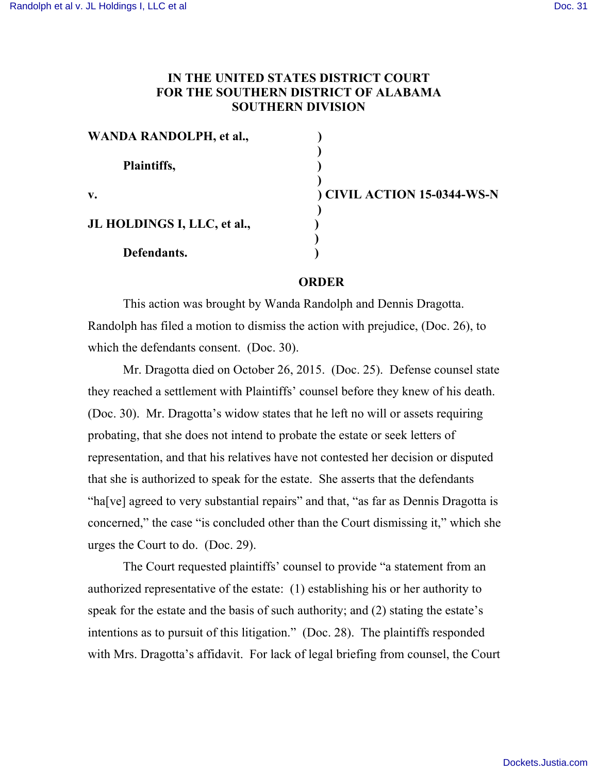## **IN THE UNITED STATES DISTRICT COURT FOR THE SOUTHERN DISTRICT OF ALABAMA SOUTHERN DIVISION**

| WANDA RANDOLPH, et al.,     |  |
|-----------------------------|--|
| Plaintiffs,                 |  |
| $V_{\bullet}$               |  |
| JL HOLDINGS I, LLC, et al., |  |
| Defendants.                 |  |

 **) ) v. ) CIVIL ACTION 15-0344-WS-N ) )**

## **ORDER**

This action was brought by Wanda Randolph and Dennis Dragotta. Randolph has filed a motion to dismiss the action with prejudice, (Doc. 26), to which the defendants consent. (Doc. 30).

Mr. Dragotta died on October 26, 2015. (Doc. 25). Defense counsel state they reached a settlement with Plaintiffs' counsel before they knew of his death. (Doc. 30). Mr. Dragotta's widow states that he left no will or assets requiring probating, that she does not intend to probate the estate or seek letters of representation, and that his relatives have not contested her decision or disputed that she is authorized to speak for the estate. She asserts that the defendants "ha[ve] agreed to very substantial repairs" and that, "as far as Dennis Dragotta is concerned," the case "is concluded other than the Court dismissing it," which she urges the Court to do. (Doc. 29).

The Court requested plaintiffs' counsel to provide "a statement from an authorized representative of the estate: (1) establishing his or her authority to speak for the estate and the basis of such authority; and (2) stating the estate's intentions as to pursuit of this litigation." (Doc. 28). The plaintiffs responded with Mrs. Dragotta's affidavit. For lack of legal briefing from counsel, the Court